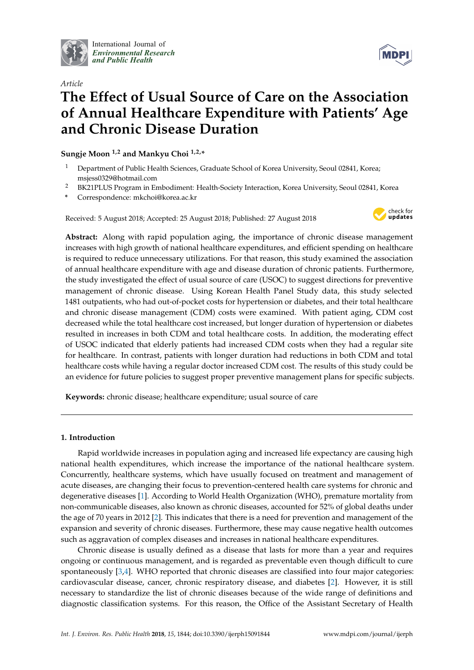

International Journal of *[Environmental Research](http://www.mdpi.com/journal/ijerph) and Public Health*



# *Article* **The Effect of Usual Source of Care on the Association of Annual Healthcare Expenditure with Patients' Age and Chronic Disease Duration**

**Sungje Moon 1,2 and Mankyu Choi 1,2,\***

- <sup>1</sup> Department of Public Health Sciences, Graduate School of Korea University, Seoul 02841, Korea; msjess0329@hotmail.com
- <sup>2</sup> BK21PLUS Program in Embodiment: Health-Society Interaction, Korea University, Seoul 02841, Korea
- **\*** Correspondence: mkchoi@korea.ac.kr

Received: 5 August 2018; Accepted: 25 August 2018; Published: 27 August 2018



**Abstract:** Along with rapid population aging, the importance of chronic disease management increases with high growth of national healthcare expenditures, and efficient spending on healthcare is required to reduce unnecessary utilizations. For that reason, this study examined the association of annual healthcare expenditure with age and disease duration of chronic patients. Furthermore, the study investigated the effect of usual source of care (USOC) to suggest directions for preventive management of chronic disease. Using Korean Health Panel Study data, this study selected 1481 outpatients, who had out-of-pocket costs for hypertension or diabetes, and their total healthcare and chronic disease management (CDM) costs were examined. With patient aging, CDM cost decreased while the total healthcare cost increased, but longer duration of hypertension or diabetes resulted in increases in both CDM and total healthcare costs. In addition, the moderating effect of USOC indicated that elderly patients had increased CDM costs when they had a regular site for healthcare. In contrast, patients with longer duration had reductions in both CDM and total healthcare costs while having a regular doctor increased CDM cost. The results of this study could be an evidence for future policies to suggest proper preventive management plans for specific subjects.

**Keywords:** chronic disease; healthcare expenditure; usual source of care

## **1. Introduction**

Rapid worldwide increases in population aging and increased life expectancy are causing high national health expenditures, which increase the importance of the national healthcare system. Concurrently, healthcare systems, which have usually focused on treatment and management of acute diseases, are changing their focus to prevention-centered health care systems for chronic and degenerative diseases [\[1\]](#page-8-0). According to World Health Organization (WHO), premature mortality from non-communicable diseases, also known as chronic diseases, accounted for 52% of global deaths under the age of 70 years in 2012 [\[2\]](#page-8-1). This indicates that there is a need for prevention and management of the expansion and severity of chronic diseases. Furthermore, these may cause negative health outcomes such as aggravation of complex diseases and increases in national healthcare expenditures.

Chronic disease is usually defined as a disease that lasts for more than a year and requires ongoing or continuous management, and is regarded as preventable even though difficult to cure spontaneously [\[3,](#page-8-2)[4\]](#page-8-3). WHO reported that chronic diseases are classified into four major categories: cardiovascular disease, cancer, chronic respiratory disease, and diabetes [\[2\]](#page-8-1). However, it is still necessary to standardize the list of chronic diseases because of the wide range of definitions and diagnostic classification systems. For this reason, the Office of the Assistant Secretary of Health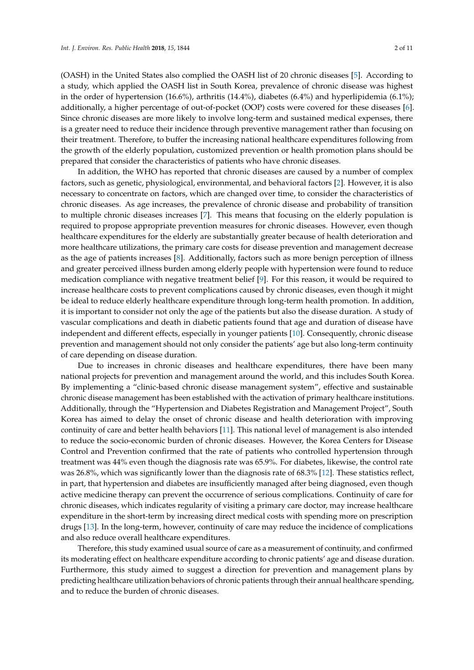(OASH) in the United States also complied the OASH list of 20 chronic diseases [\[5\]](#page-8-4). According to a study, which applied the OASH list in South Korea, prevalence of chronic disease was highest in the order of hypertension (16.6%), arthritis (14.4%), diabetes (6.4%) and hyperlipidemia (6.1%); additionally, a higher percentage of out-of-pocket (OOP) costs were covered for these diseases [\[6\]](#page-8-5). Since chronic diseases are more likely to involve long-term and sustained medical expenses, there is a greater need to reduce their incidence through preventive management rather than focusing on their treatment. Therefore, to buffer the increasing national healthcare expenditures following from the growth of the elderly population, customized prevention or health promotion plans should be prepared that consider the characteristics of patients who have chronic diseases.

In addition, the WHO has reported that chronic diseases are caused by a number of complex factors, such as genetic, physiological, environmental, and behavioral factors [\[2\]](#page-8-1). However, it is also necessary to concentrate on factors, which are changed over time, to consider the characteristics of chronic diseases. As age increases, the prevalence of chronic disease and probability of transition to multiple chronic diseases increases [\[7\]](#page-9-0). This means that focusing on the elderly population is required to propose appropriate prevention measures for chronic diseases. However, even though healthcare expenditures for the elderly are substantially greater because of health deterioration and more healthcare utilizations, the primary care costs for disease prevention and management decrease as the age of patients increases [\[8\]](#page-9-1). Additionally, factors such as more benign perception of illness and greater perceived illness burden among elderly people with hypertension were found to reduce medication compliance with negative treatment belief [\[9\]](#page-9-2). For this reason, it would be required to increase healthcare costs to prevent complications caused by chronic diseases, even though it might be ideal to reduce elderly healthcare expenditure through long-term health promotion. In addition, it is important to consider not only the age of the patients but also the disease duration. A study of vascular complications and death in diabetic patients found that age and duration of disease have independent and different effects, especially in younger patients [\[10\]](#page-9-3). Consequently, chronic disease prevention and management should not only consider the patients' age but also long-term continuity of care depending on disease duration.

Due to increases in chronic diseases and healthcare expenditures, there have been many national projects for prevention and management around the world, and this includes South Korea. By implementing a "clinic-based chronic disease management system", effective and sustainable chronic disease management has been established with the activation of primary healthcare institutions. Additionally, through the "Hypertension and Diabetes Registration and Management Project", South Korea has aimed to delay the onset of chronic disease and health deterioration with improving continuity of care and better health behaviors [\[11\]](#page-9-4). This national level of management is also intended to reduce the socio-economic burden of chronic diseases. However, the Korea Centers for Disease Control and Prevention confirmed that the rate of patients who controlled hypertension through treatment was 44% even though the diagnosis rate was 65.9%. For diabetes, likewise, the control rate was 26.8%, which was significantly lower than the diagnosis rate of 68.3% [\[12\]](#page-9-5). These statistics reflect, in part, that hypertension and diabetes are insufficiently managed after being diagnosed, even though active medicine therapy can prevent the occurrence of serious complications. Continuity of care for chronic diseases, which indicates regularity of visiting a primary care doctor, may increase healthcare expenditure in the short-term by increasing direct medical costs with spending more on prescription drugs [\[13\]](#page-9-6). In the long-term, however, continuity of care may reduce the incidence of complications and also reduce overall healthcare expenditures.

Therefore, this study examined usual source of care as a measurement of continuity, and confirmed its moderating effect on healthcare expenditure according to chronic patients' age and disease duration. Furthermore, this study aimed to suggest a direction for prevention and management plans by predicting healthcare utilization behaviors of chronic patients through their annual healthcare spending, and to reduce the burden of chronic diseases.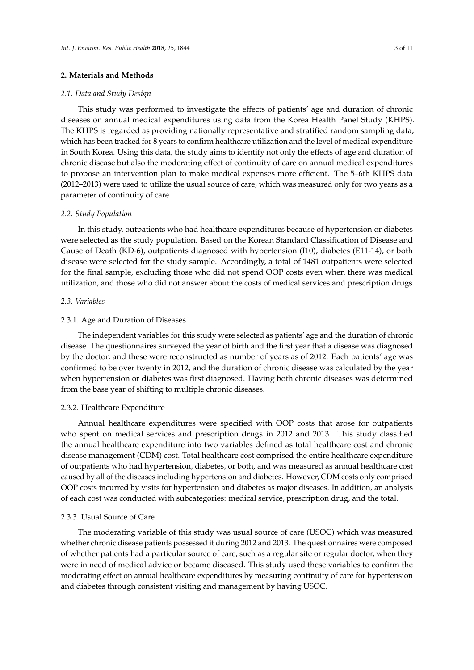#### **2. Materials and Methods**

#### *2.1. Data and Study Design*

This study was performed to investigate the effects of patients' age and duration of chronic diseases on annual medical expenditures using data from the Korea Health Panel Study (KHPS). The KHPS is regarded as providing nationally representative and stratified random sampling data, which has been tracked for 8 years to confirm healthcare utilization and the level of medical expenditure in South Korea. Using this data, the study aims to identify not only the effects of age and duration of chronic disease but also the moderating effect of continuity of care on annual medical expenditures to propose an intervention plan to make medical expenses more efficient. The 5–6th KHPS data (2012–2013) were used to utilize the usual source of care, which was measured only for two years as a parameter of continuity of care.

#### *2.2. Study Population*

In this study, outpatients who had healthcare expenditures because of hypertension or diabetes were selected as the study population. Based on the Korean Standard Classification of Disease and Cause of Death (KD-6), outpatients diagnosed with hypertension (I10), diabetes (E11-14), or both disease were selected for the study sample. Accordingly, a total of 1481 outpatients were selected for the final sample, excluding those who did not spend OOP costs even when there was medical utilization, and those who did not answer about the costs of medical services and prescription drugs.

## *2.3. Variables*

## 2.3.1. Age and Duration of Diseases

The independent variables for this study were selected as patients' age and the duration of chronic disease. The questionnaires surveyed the year of birth and the first year that a disease was diagnosed by the doctor, and these were reconstructed as number of years as of 2012. Each patients' age was confirmed to be over twenty in 2012, and the duration of chronic disease was calculated by the year when hypertension or diabetes was first diagnosed. Having both chronic diseases was determined from the base year of shifting to multiple chronic diseases.

#### 2.3.2. Healthcare Expenditure

Annual healthcare expenditures were specified with OOP costs that arose for outpatients who spent on medical services and prescription drugs in 2012 and 2013. This study classified the annual healthcare expenditure into two variables defined as total healthcare cost and chronic disease management (CDM) cost. Total healthcare cost comprised the entire healthcare expenditure of outpatients who had hypertension, diabetes, or both, and was measured as annual healthcare cost caused by all of the diseases including hypertension and diabetes. However, CDM costs only comprised OOP costs incurred by visits for hypertension and diabetes as major diseases. In addition, an analysis of each cost was conducted with subcategories: medical service, prescription drug, and the total.

## 2.3.3. Usual Source of Care

The moderating variable of this study was usual source of care (USOC) which was measured whether chronic disease patients possessed it during 2012 and 2013. The questionnaires were composed of whether patients had a particular source of care, such as a regular site or regular doctor, when they were in need of medical advice or became diseased. This study used these variables to confirm the moderating effect on annual healthcare expenditures by measuring continuity of care for hypertension and diabetes through consistent visiting and management by having USOC.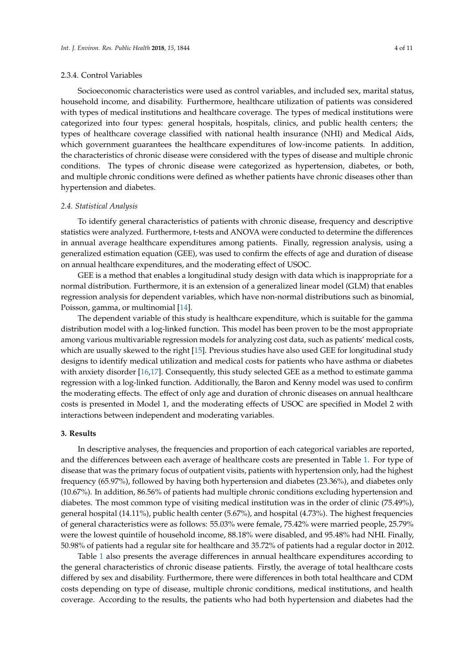#### 2.3.4. Control Variables

Socioeconomic characteristics were used as control variables, and included sex, marital status, household income, and disability. Furthermore, healthcare utilization of patients was considered with types of medical institutions and healthcare coverage. The types of medical institutions were categorized into four types: general hospitals, hospitals, clinics, and public health centers; the types of healthcare coverage classified with national health insurance (NHI) and Medical Aids, which government guarantees the healthcare expenditures of low-income patients. In addition, the characteristics of chronic disease were considered with the types of disease and multiple chronic conditions. The types of chronic disease were categorized as hypertension, diabetes, or both, and multiple chronic conditions were defined as whether patients have chronic diseases other than hypertension and diabetes.

#### *2.4. Statistical Analysis*

To identify general characteristics of patients with chronic disease, frequency and descriptive statistics were analyzed. Furthermore, t-tests and ANOVA were conducted to determine the differences in annual average healthcare expenditures among patients. Finally, regression analysis, using a generalized estimation equation (GEE), was used to confirm the effects of age and duration of disease on annual healthcare expenditures, and the moderating effect of USOC.

GEE is a method that enables a longitudinal study design with data which is inappropriate for a normal distribution. Furthermore, it is an extension of a generalized linear model (GLM) that enables regression analysis for dependent variables, which have non-normal distributions such as binomial, Poisson, gamma, or multinomial [\[14\]](#page-9-7).

The dependent variable of this study is healthcare expenditure, which is suitable for the gamma distribution model with a log-linked function. This model has been proven to be the most appropriate among various multivariable regression models for analyzing cost data, such as patients' medical costs, which are usually skewed to the right [\[15\]](#page-9-8). Previous studies have also used GEE for longitudinal study designs to identify medical utilization and medical costs for patients who have asthma or diabetes with anxiety disorder [\[16,](#page-9-9)[17\]](#page-9-10). Consequently, this study selected GEE as a method to estimate gamma regression with a log-linked function. Additionally, the Baron and Kenny model was used to confirm the moderating effects. The effect of only age and duration of chronic diseases on annual healthcare costs is presented in Model 1, and the moderating effects of USOC are specified in Model 2 with interactions between independent and moderating variables.

## **3. Results**

In descriptive analyses, the frequencies and proportion of each categorical variables are reported, and the differences between each average of healthcare costs are presented in Table [1.](#page-4-0) For type of disease that was the primary focus of outpatient visits, patients with hypertension only, had the highest frequency (65.97%), followed by having both hypertension and diabetes (23.36%), and diabetes only (10.67%). In addition, 86.56% of patients had multiple chronic conditions excluding hypertension and diabetes. The most common type of visiting medical institution was in the order of clinic (75.49%), general hospital (14.11%), public health center (5.67%), and hospital (4.73%). The highest frequencies of general characteristics were as follows: 55.03% were female, 75.42% were married people, 25.79% were the lowest quintile of household income, 88.18% were disabled, and 95.48% had NHI. Finally, 50.98% of patients had a regular site for healthcare and 35.72% of patients had a regular doctor in 2012.

Table [1](#page-4-0) also presents the average differences in annual healthcare expenditures according to the general characteristics of chronic disease patients. Firstly, the average of total healthcare costs differed by sex and disability. Furthermore, there were differences in both total healthcare and CDM costs depending on type of disease, multiple chronic conditions, medical institutions, and health coverage. According to the results, the patients who had both hypertension and diabetes had the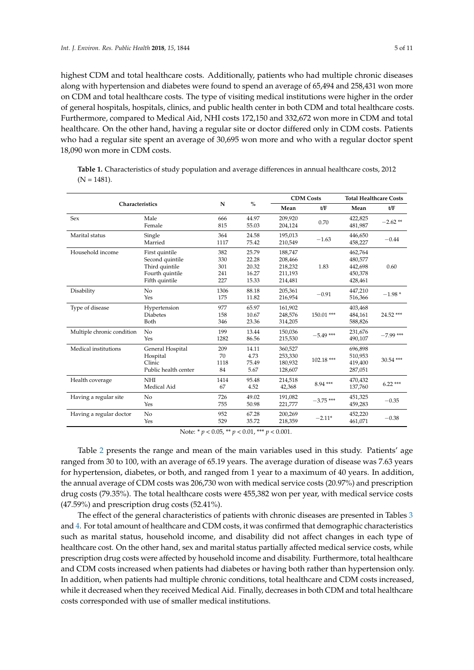highest CDM and total healthcare costs. Additionally, patients who had multiple chronic diseases along with hypertension and diabetes were found to spend an average of 65,494 and 258,431 won more on CDM and total healthcare costs. The type of visiting medical institutions were higher in the order of general hospitals, hospitals, clinics, and public health center in both CDM and total healthcare costs. Furthermore, compared to Medical Aid, NHI costs 172,150 and 332,672 won more in CDM and total healthcare. On the other hand, having a regular site or doctor differed only in CDM costs. Patients who had a regular site spent an average of 30,695 won more and who with a regular doctor spent 18,090 won more in CDM costs.

|                            |                                                                                          |                                 |                                           | <b>CDM</b> Costs                                    | <b>Total Healthcare Costs</b> |                                                     |             |
|----------------------------|------------------------------------------------------------------------------------------|---------------------------------|-------------------------------------------|-----------------------------------------------------|-------------------------------|-----------------------------------------------------|-------------|
| Characteristics            | ${\bf N}$                                                                                | $\%$                            | Mean                                      | t/F                                                 | Mean                          | t/F                                                 |             |
| Sex                        | Male<br>Female                                                                           | 666<br>815                      | 44.97<br>55.03                            | 209,920<br>204,124                                  | 0.70                          | 422,825<br>481,987                                  | $-2.62**$   |
| Marital status             | Single<br>Married                                                                        | 364<br>1117                     | 24.58<br>75.42                            | 195,013<br>210,549                                  | $-1.63$                       | 446,650<br>458,227                                  | $-0.44$     |
| Household income           | First quintile<br>Second quintile<br>Third quintile<br>Fourth quintile<br>Fifth quintile | 382<br>330<br>301<br>241<br>227 | 25.79<br>22.28<br>20.32<br>16.27<br>15.33 | 188,747<br>208,466<br>218,232<br>211,193<br>214,481 | 1.83                          | 462,764<br>480,577<br>442,698<br>450,378<br>428,461 | 0.60        |
| Disability                 | No<br>Yes                                                                                | 1306<br>175                     | 88.18<br>11.82                            | 205,361<br>216,954                                  | $-0.91$                       | 447,210<br>516,366                                  | $-1.98*$    |
| Type of disease            | Hypertension<br><b>Diabetes</b><br>Both                                                  | 977<br>158<br>346               | 65.97<br>10.67<br>23.36                   | 161,902<br>248,576<br>314,205                       | 150.01 ***                    | 403,468<br>484,161<br>588,826                       | 24.52 ***   |
| Multiple chronic condition | N <sub>o</sub><br>Yes                                                                    | 199<br>1282                     | 13.44<br>86.56                            | 150,036<br>215,530                                  | $-5.49$ ***                   | 231,676<br>490,107                                  | $-7.99$ *** |
| Medical institutions       | General Hospital<br>Hospital<br>Clinic<br>Public health center                           | 209<br>70<br>1118<br>84         | 14.11<br>4.73<br>75.49<br>5.67            | 360,527<br>253,330<br>180,932<br>128,607            | $102.18***$                   | 696,898<br>510,953<br>419,400<br>287,051            | 30.54 ***   |
| Health coverage            | <b>NHI</b><br>Medical Aid                                                                | 1414<br>67                      | 95.48<br>4.52                             | 214,518<br>42,368                                   | 8.94***                       | 470,432<br>137,760                                  | $6.22***$   |
| Having a regular site      | N <sub>o</sub><br>Yes                                                                    | 726<br>755                      | 49.02<br>50.98                            | 191,082<br>221,777                                  | $-3.75$ ***                   | 451,325<br>459,283                                  | $-0.35$     |
| Having a regular doctor    | No<br>Yes                                                                                | 952<br>529                      | 67.28<br>35.72                            | 200,269<br>218,359                                  | $-2.11*$                      | 452,220<br>461,071                                  | $-0.38$     |

<span id="page-4-0"></span>Table 1. Characteristics of study population and average differences in annual healthcare costs, 2012  $(N = 1481)$ .

Note: \* *p* < 0.05, \*\* *p* < 0.01, \*\*\* *p* < 0.001.

Table [2](#page-5-0) presents the range and mean of the main variables used in this study. Patients' age ranged from 30 to 100, with an average of 65.19 years. The average duration of disease was 7.63 years for hypertension, diabetes, or both, and ranged from 1 year to a maximum of 40 years. In addition, the annual average of CDM costs was 206,730 won with medical service costs (20.97%) and prescription drug costs (79.35%). The total healthcare costs were 455,382 won per year, with medical service costs (47.59%) and prescription drug costs (52.41%).

The effect of the general characteristics of patients with chronic diseases are presented in Tables [3](#page-5-1) and [4.](#page-6-0) For total amount of healthcare and CDM costs, it was confirmed that demographic characteristics such as marital status, household income, and disability did not affect changes in each type of healthcare cost. On the other hand, sex and marital status partially affected medical service costs, while prescription drug costs were affected by household income and disability. Furthermore, total healthcare and CDM costs increased when patients had diabetes or having both rather than hypertension only. In addition, when patients had multiple chronic conditions, total healthcare and CDM costs increased, while it decreased when they received Medical Aid. Finally, decreases in both CDM and total healthcare costs corresponded with use of smaller medical institutions.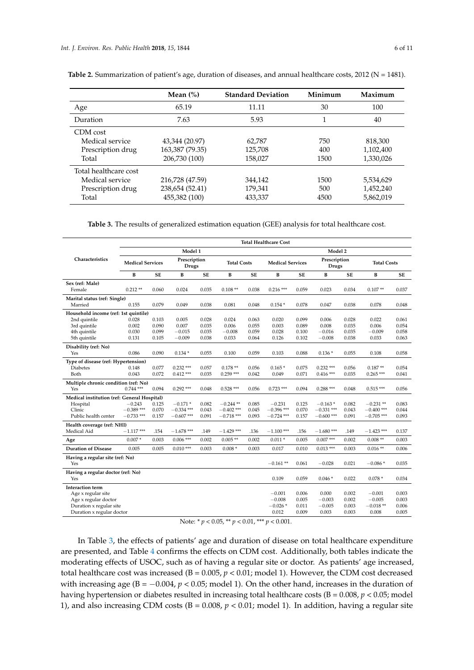|                                                                        | Mean $(\%)$                                         | <b>Standard Deviation</b>     | Minimum             | Maximum                             |
|------------------------------------------------------------------------|-----------------------------------------------------|-------------------------------|---------------------|-------------------------------------|
| Age                                                                    | 65.19                                               | 11.11                         | 30                  | 100                                 |
| Duration                                                               | 7.63                                                | 5.93                          |                     | 40                                  |
| CDM cost<br>Medical service<br>Prescription drug<br>Total              | 43,344 (20.97)<br>163,387 (79.35)<br>206,730 (100)  | 62.787<br>125,708<br>158,027  | 750<br>400<br>1500  | 818.300<br>1,102,400<br>1,330,026   |
| Total healthcare cost<br>Medical service<br>Prescription drug<br>Total | 216,728 (47.59)<br>238,654 (52.41)<br>455,382 (100) | 344,142<br>179,341<br>433,337 | 1500<br>500<br>4500 | 5,534,629<br>1,452,240<br>5,862,019 |

<span id="page-5-0"></span>Table 2. Summarization of patient's age, duration of diseases, and annual healthcare costs, 2012 (N = 1481).

**Table 3.** The results of generalized estimation equation (GEE) analysis for total healthcare cost.

<span id="page-5-1"></span>

|                                             | <b>Total Healthcare Cost</b> |           |              |                              |              |                    |              |                         |              |                              |              |                    |  |
|---------------------------------------------|------------------------------|-----------|--------------|------------------------------|--------------|--------------------|--------------|-------------------------|--------------|------------------------------|--------------|--------------------|--|
|                                             | Model 1                      |           |              |                              |              |                    | Model 2      |                         |              |                              |              |                    |  |
| Characteristics                             | <b>Medical Services</b>      |           |              | Prescription<br><b>Drugs</b> |              | <b>Total Costs</b> |              | <b>Medical Services</b> |              | Prescription<br><b>Drugs</b> |              | <b>Total Costs</b> |  |
|                                             | B                            | <b>SE</b> | B            | <b>SE</b>                    | В            | <b>SE</b>          | B            | <b>SE</b>               | В            | <b>SE</b>                    | В            | SE                 |  |
| Sex (ref: Male)                             |                              |           |              |                              |              |                    |              |                         |              |                              |              |                    |  |
| Female                                      | $0.212**$                    | 0.060     | 0.024        | 0.035                        | $0.108**$    | 0.038              | $0.216***$   | 0.059                   | 0.023        | 0.034                        | $0.107**$    | 0.037              |  |
| Marital status (ref: Single)                |                              |           |              |                              |              |                    |              |                         |              |                              |              |                    |  |
| Married                                     | 0.155                        | 0.079     | 0.049        | 0.038                        | 0.081        | 0.048              | $0.154*$     | 0.078                   | 0.047        | 0.038                        | 0.078        | 0.048              |  |
| Household income (ref: 1st quintile)        |                              |           |              |                              |              |                    |              |                         |              |                              |              |                    |  |
| 2nd quintile                                | 0.028                        | 0.103     | 0.005        | 0.028                        | 0.024        | 0.063              | 0.020        | 0.099                   | 0.006        | 0.028                        | 0.022        | 0.061              |  |
| 3rd quintile                                | 0.002                        | 0.090     | 0.007        | 0.035                        | 0.006        | 0.055              | 0.003        | 0.089                   | 0.008        | 0.035                        | 0.006        | 0.054              |  |
| 4th quintile                                | 0.030                        | 0.099     | $-0.015$     | 0.035                        | $-0.008$     | 0.059              | 0.028        | 0.100                   | $-0.016$     | 0.035                        | $-0.009$     | 0.058              |  |
| 5th quintile                                | 0.131                        | 0.105     | $-0.009$     | 0.038                        | 0.033        | 0.064              | 0.126        | 0.102                   | $-0.008$     | 0.038                        | 0.033        | 0.063              |  |
| Disability (ref: No)                        |                              |           |              |                              |              |                    |              |                         |              |                              |              |                    |  |
| Yes                                         | 0.086                        | 0.090     | $0.134*$     | 0.055                        | 0.100        | 0.059              | 0.103        | 0.088                   | $0.136*$     | 0.055                        | 0.108        | 0.058              |  |
| Type of disease (ref: Hypertension)         |                              |           |              |                              |              |                    |              |                         |              |                              |              |                    |  |
| <b>Diabetes</b>                             | 0.148                        | 0.077     | $0.232***$   | 0.057                        | $0.178**$    | 0.056              | $0.165*$     | 0.075                   | $0.232***$   | 0.056                        | $0.187**$    | 0.054              |  |
| <b>Both</b>                                 | 0.043                        | 0.072     | $0.412***$   | 0.035                        | $0.259***$   | 0.042              | 0.049        | 0.071                   | $0.416***$   | 0.035                        | $0.265***$   | 0.041              |  |
| Multiple chronic condition (ref: No)        |                              |           |              |                              |              |                    |              |                         |              |                              |              |                    |  |
| Yes                                         | $0.744$ ***                  | 0.094     | $0.292$ ***  | 0.048                        | $0.528***$   | 0.056              | $0.723$ ***  | 0.094                   | $0.288***$   | 0.048                        | $0.515***$   | 0.056              |  |
| Medical institution (ref: General Hospital) |                              |           |              |                              |              |                    |              |                         |              |                              |              |                    |  |
| Hospital                                    | $-0.243$                     | 0.125     | $-0.171*$    | 0.082                        | $-0.244$ **  | 0.085              | $-0.231$     | 0.125                   | $-0.163*$    | 0.082                        | $-0.231**$   | 0.083              |  |
| Clinic                                      | $-0.389$ ***                 | 0.070     | $-0.334$ *** | 0.043                        | $-0.402$ *** | 0.045              | $-0.396$ *** | 0.070                   | $-0.331$ *** | 0.043                        | $-0.400$ *** | 0.044              |  |
| Public health center                        | $-0.733$ ***                 | 0.157     | $-0.607$ *** | 0.091                        | $-0.718$ *** | 0.093              | $-0.724$ *** | 0.157                   | $-0.600$ *** | 0.091                        | $-0.705$ *** | 0.093              |  |
| Health coverage (ref: NHI)                  |                              |           |              |                              |              |                    |              |                         |              |                              |              |                    |  |
| Medical Aid                                 | $-1.117$ ***                 | .154      | $-1.678$ *** | .149                         | $-1.429$ *** | .136               | $-1.100$ *** | .156                    | $-1.680$ *** | .149                         | $-1.423$ *** | 0.137              |  |
| Age                                         | $0.007*$                     | 0.003     | $0.006$ ***  | 0.002                        | $0.005**$    | 0.002              | $0.011*$     | 0.005                   | $0.007***$   | 0.002                        | $0.008**$    | 0.003              |  |
| <b>Duration of Disease</b>                  | 0.005                        | 0.005     | $0.010***$   | 0.003                        | $0.008*$     | 0.003              | 0.017        | 0.010                   | $0.013***$   | 0.003                        | $0.016**$    | 0.006              |  |
| Having a regular site (ref: No)             |                              |           |              |                              |              |                    |              |                         |              |                              |              |                    |  |
| Yes                                         |                              |           |              |                              |              |                    | $-0.161**$   | 0.061                   | $-0.028$     | 0.021                        | $-0.086*$    | 0.035              |  |
| Having a regular doctor (ref: No)           |                              |           |              |                              |              |                    |              |                         |              |                              |              |                    |  |
| Yes                                         |                              |           |              |                              |              |                    | 0.109        | 0.059                   | $0.046*$     | 0.022                        | $0.078*$     | 0.034              |  |
| <b>Interaction term</b>                     |                              |           |              |                              |              |                    |              |                         |              |                              |              |                    |  |
| Age x regular site                          |                              |           |              |                              |              |                    | $-0.001$     | 0.006                   | 0.000        | 0.002                        | $-0.001$     | 0.003              |  |
| Age x regular doctor                        |                              |           |              |                              |              |                    | $-0.008$     | 0.005                   | $-0.003$     | 0.002                        | $-0.005$     | 0.003              |  |
| Duration x regular site                     |                              |           |              |                              |              |                    | $-0.026*$    | 0.011                   | $-0.005$     | 0.003                        | $-0.018**$   | 0.006              |  |
| Duration x regular doctor                   |                              |           |              |                              |              |                    | 0.012        | 0.009                   | 0.003        | 0.003                        | 0.008        | 0.005              |  |

Note: \* *p* < 0.05, \*\* *p* < 0.01, \*\*\* *p* < 0.001.

In Table [3,](#page-5-1) the effects of patients' age and duration of disease on total healthcare expenditure are presented, and Table [4](#page-6-0) confirms the effects on CDM cost. Additionally, both tables indicate the moderating effects of USOC, such as of having a regular site or doctor. As patients' age increased, total healthcare cost was increased ( $B = 0.005$ ,  $p < 0.01$ ; model 1). However, the CDM cost decreased with increasing age (B = −0.004, *p* < 0.05; model 1). On the other hand, increases in the duration of having hypertension or diabetes resulted in increasing total healthcare costs (B = 0.008, *p* < 0.05; model 1), and also increasing CDM costs ( $B = 0.008$ ,  $p < 0.01$ ; model 1). In addition, having a regular site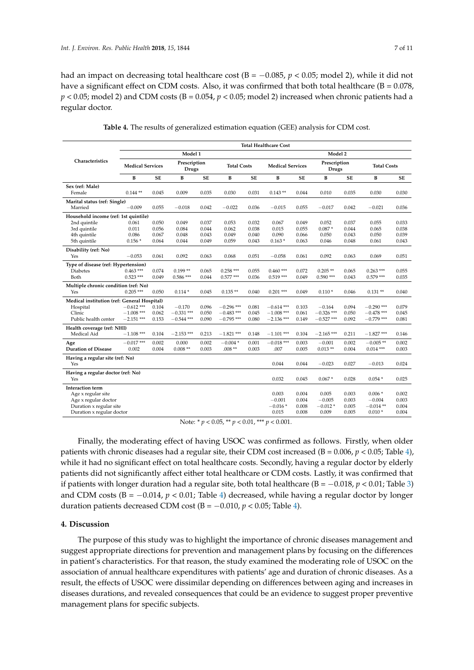had an impact on decreasing total healthcare cost  $(B = -0.085, p < 0.05$ ; model 2), while it did not have a significant effect on CDM costs. Also, it was confirmed that both total healthcare ( $B = 0.078$ ,  $p < 0.05$ ; model 2) and CDM costs ( $B = 0.054$ ,  $p < 0.05$ ; model 2) increased when chronic patients had a regular doctor.

<span id="page-6-0"></span>

|                                             | <b>Total Healthcare Cost</b> |           |                              |           |                    |           |                         |       |                       |           |                    |           |
|---------------------------------------------|------------------------------|-----------|------------------------------|-----------|--------------------|-----------|-------------------------|-------|-----------------------|-----------|--------------------|-----------|
|                                             | Model 1                      |           |                              |           |                    |           | Model 2                 |       |                       |           |                    |           |
| Characteristics                             | <b>Medical Services</b>      |           | Prescription<br><b>Drugs</b> |           | <b>Total Costs</b> |           | <b>Medical Services</b> |       | Prescription<br>Drugs |           | <b>Total Costs</b> |           |
|                                             | $\bf{B}$                     | <b>SE</b> | $\bf{B}$                     | <b>SE</b> | B                  | <b>SE</b> | B                       | SE    | B                     | <b>SE</b> | B                  | <b>SE</b> |
| Sex (ref: Male)                             |                              |           |                              |           |                    |           |                         |       |                       |           |                    |           |
| Female                                      | $0.144**$                    | 0.045     | 0.009                        | 0.035     | 0.030              | 0.031     | $0.143**$               | 0.044 | 0.010                 | 0.035     | 0.030              | 0.030     |
| Marital status (ref: Single)                |                              |           |                              |           |                    |           |                         |       |                       |           |                    |           |
| Married                                     | $-0.009$                     | 0.055     | $-0.018$                     | 0.042     | $-0.022$           | 0.036     | $-0.015$                | 0.055 | $-0.017$              | 0.042     | $-0.021$           | 0.036     |
| Household income (ref: 1st quintile)        |                              |           |                              |           |                    |           |                         |       |                       |           |                    |           |
| 2nd quintile                                | 0.061                        | 0.050     | 0.049                        | 0.037     | 0.053              | 0.032     | 0.067                   | 0.049 | 0.052                 | 0.037     | 0.055              | 0.033     |
| 3rd quintile                                | 0.011                        | 0.056     | 0.084                        | 0.044     | 0.062              | 0.038     | 0.015                   | 0.055 | $0.087*$              | 0.044     | 0.065              | 0.038     |
| 4th quintile                                | 0.086                        | 0.067     | 0.048                        | 0.043     | 0.049              | 0.040     | 0.090                   | 0.066 | 0.050                 | 0.043     | 0.050              | 0.039     |
| 5th quintile                                | $0.156*$                     | 0.064     | 0.044                        | 0.049     | 0.059              | 0.043     | $0.163*$                | 0.063 | 0.046                 | 0.048     | 0.061              | 0.043     |
| Disability (ref: No)                        |                              |           |                              |           |                    |           |                         |       |                       |           |                    |           |
| Yes                                         | $-0.053$                     | 0.061     | 0.092                        | 0.063     | 0.068              | 0.051     | $-0.058$                | 0.061 | 0.092                 | 0.063     | 0.069              | 0.051     |
| Type of disease (ref: Hypertension)         |                              |           |                              |           |                    |           |                         |       |                       |           |                    |           |
| <b>Diabetes</b>                             | $0.463***$                   | 0.074     | $0.199**$                    | 0.065     | $0.258***$         | 0.055     | $0.460***$              | 0.072 | $0.205**$             | 0.065     | $0.263$ ***        | 0.055     |
| Both                                        | $0.523$ ***                  | 0.049     | $0.586***$                   | 0.044     | $0.577***$         | 0.036     | $0.519***$              | 0.049 | $0.590$ ***           | 0.043     | $0.579$ ***        | 0.035     |
| Multiple chronic condition (ref: No)        |                              |           |                              |           |                    |           |                         |       |                       |           |                    |           |
| Yes                                         | $0.205$ ***                  | 0.050     | $0.114*$                     | 0.045     | $0.135**$          | 0.040     | $0.201$ ***             | 0.049 | $0.110*$              | 0.046     | $0.131**$          | 0.040     |
| Medical institution (ref: General Hospital) |                              |           |                              |           |                    |           |                         |       |                       |           |                    |           |
| Hospital                                    | $-0.612$ ***                 | 0.104     | $-0.170$                     | 0.096     | $-0.296$ ***       | 0.081     | $-0.614$ ***            | 0.103 | $-0.164$              | 0.094     | $-0.290$ ***       | 0.079     |
| Clinic                                      | $-1.008$ ***                 | 0.062     | $-0.331$ ***                 | 0.050     | $-0.483$ ***       | 0.045     | $-1.008$ ***            | 0.061 | $-0.326$ ***          | 0.050     | $-0.478$ ***       | 0.045     |
| Public health center                        | $-2.151$ ***                 | 0.153     | $-0.544$ ***                 | 0.090     | $-0.795$ ***       | 0.080     | $-2.136$ ***            | 0.149 | $-0.527$ ***          | 0.092     | $-0.779$ ***       | 0.081     |
| Health coverage (ref: NHI)                  |                              |           |                              |           |                    |           |                         |       |                       |           |                    |           |
| Medical Aid                                 | $-1.108$ ***                 | 0.104     | $-2.153$ ***                 | 0.213     | $-1.821$ ***       | 0.148     | $-1.101$ ***            | 0.104 | $-2.165***$           | 0.211     | $-1.827$ ***       | 0.146     |
| Age                                         | $-0.017***$                  | 0.002     | 0.000                        | 0.002     | $-0.004*$          | 0.001     | $-0.018$ ***            | 0.003 | $-0.001$              | 0.002     | $-0.005**$         | 0.002     |
| <b>Duration of Disease</b>                  | 0.002                        | 0.004     | $0.008**$                    | 0.003     | $.008**$           | 0.003     | .007                    | 0.005 | $0.013**$             | 0.004     | $0.014***$         | 0.003     |
| Having a regular site (ref: No)             |                              |           |                              |           |                    |           |                         |       |                       |           |                    |           |
| Yes                                         |                              |           |                              |           |                    |           | 0.044                   | 0.044 | $-0.023$              | 0.027     | $-0.013$           | 0.024     |
| Having a regular doctor (ref: No)           |                              |           |                              |           |                    |           |                         |       |                       |           |                    |           |
| Yes                                         |                              |           |                              |           |                    |           | 0.032                   | 0.045 | $0.067*$              | 0.028     | $0.054*$           | 0.025     |
| <b>Interaction term</b>                     |                              |           |                              |           |                    |           |                         |       |                       |           |                    |           |
| Age x regular site                          |                              |           |                              |           |                    |           | 0.003                   | 0.004 | 0.005                 | 0.003     | $0.006*$           | 0.002     |
| Age x regular doctor                        |                              |           |                              |           |                    |           | $-0.001$                | 0.004 | $-0.005$              | 0.003     | $-0.004$           | 0.003     |
| Duration x regular site                     |                              |           |                              |           |                    |           | $-0.016*$               | 0.008 | $-0.012*$             | 0.005     | $-0.014**$         | 0.004     |
| Duration x regular doctor                   |                              |           |                              |           |                    |           | 0.015                   | 0.008 | 0.009                 | 0.005     | $0.010*$           | 0.004     |

**Table 4.** The results of generalized estimation equation (GEE) analysis for CDM cost.

Note: \* *p* < 0.05, \*\* *p* < 0.01, \*\*\* *p* < 0.001.

Finally, the moderating effect of having USOC was confirmed as follows. Firstly, when older patients with chronic diseases had a regular site, their CDM cost increased ( $B = 0.006$ ,  $p < 0.05$ ; Table [4\)](#page-6-0), while it had no significant effect on total healthcare costs. Secondly, having a regular doctor by elderly patients did not significantly affect either total healthcare or CDM costs. Lastly, it was confirmed that if patients with longer duration had a regular site, both total healthcare ( $B = -0.018$ ,  $p < 0.01$ ; Table [3\)](#page-5-1) and CDM costs  $(B = -0.014, p < 0.01$ ; Table [4\)](#page-6-0) decreased, while having a regular doctor by longer duration patients decreased CDM cost ( $B = -0.010$ ,  $p < 0.05$ ; Table [4\)](#page-6-0).

## **4. Discussion**

The purpose of this study was to highlight the importance of chronic diseases management and suggest appropriate directions for prevention and management plans by focusing on the differences in patient's characteristics. For that reason, the study examined the moderating role of USOC on the association of annual healthcare expenditures with patients' age and duration of chronic diseases. As a result, the effects of USOC were dissimilar depending on differences between aging and increases in diseases durations, and revealed consequences that could be an evidence to suggest proper preventive management plans for specific subjects.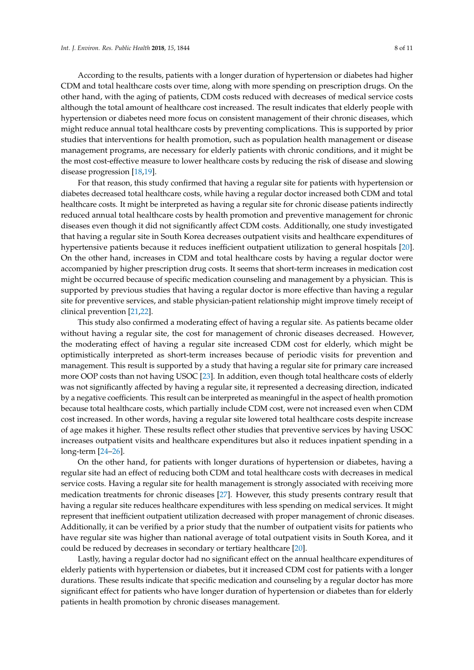According to the results, patients with a longer duration of hypertension or diabetes had higher CDM and total healthcare costs over time, along with more spending on prescription drugs. On the other hand, with the aging of patients, CDM costs reduced with decreases of medical service costs although the total amount of healthcare cost increased. The result indicates that elderly people with hypertension or diabetes need more focus on consistent management of their chronic diseases, which might reduce annual total healthcare costs by preventing complications. This is supported by prior studies that interventions for health promotion, such as population health management or disease management programs, are necessary for elderly patients with chronic conditions, and it might be the most cost-effective measure to lower healthcare costs by reducing the risk of disease and slowing disease progression [\[18,](#page-9-11)[19\]](#page-9-12).

For that reason, this study confirmed that having a regular site for patients with hypertension or diabetes decreased total healthcare costs, while having a regular doctor increased both CDM and total healthcare costs. It might be interpreted as having a regular site for chronic disease patients indirectly reduced annual total healthcare costs by health promotion and preventive management for chronic diseases even though it did not significantly affect CDM costs. Additionally, one study investigated that having a regular site in South Korea decreases outpatient visits and healthcare expenditures of hypertensive patients because it reduces inefficient outpatient utilization to general hospitals [\[20\]](#page-9-13). On the other hand, increases in CDM and total healthcare costs by having a regular doctor were accompanied by higher prescription drug costs. It seems that short-term increases in medication cost might be occurred because of specific medication counseling and management by a physician. This is supported by previous studies that having a regular doctor is more effective than having a regular site for preventive services, and stable physician-patient relationship might improve timely receipt of clinical prevention [\[21,](#page-9-14)[22\]](#page-9-15).

This study also confirmed a moderating effect of having a regular site. As patients became older without having a regular site, the cost for management of chronic diseases decreased. However, the moderating effect of having a regular site increased CDM cost for elderly, which might be optimistically interpreted as short-term increases because of periodic visits for prevention and management. This result is supported by a study that having a regular site for primary care increased more OOP costs than not having USOC [\[23\]](#page-9-16). In addition, even though total healthcare costs of elderly was not significantly affected by having a regular site, it represented a decreasing direction, indicated by a negative coefficients. This result can be interpreted as meaningful in the aspect of health promotion because total healthcare costs, which partially include CDM cost, were not increased even when CDM cost increased. In other words, having a regular site lowered total healthcare costs despite increase of age makes it higher. These results reflect other studies that preventive services by having USOC increases outpatient visits and healthcare expenditures but also it reduces inpatient spending in a long-term [\[24](#page-9-17)[–26\]](#page-9-18).

On the other hand, for patients with longer durations of hypertension or diabetes, having a regular site had an effect of reducing both CDM and total healthcare costs with decreases in medical service costs. Having a regular site for health management is strongly associated with receiving more medication treatments for chronic diseases [\[27\]](#page-9-19). However, this study presents contrary result that having a regular site reduces healthcare expenditures with less spending on medical services. It might represent that inefficient outpatient utilization decreased with proper management of chronic diseases. Additionally, it can be verified by a prior study that the number of outpatient visits for patients who have regular site was higher than national average of total outpatient visits in South Korea, and it could be reduced by decreases in secondary or tertiary healthcare [\[20\]](#page-9-13).

Lastly, having a regular doctor had no significant effect on the annual healthcare expenditures of elderly patients with hypertension or diabetes, but it increased CDM cost for patients with a longer durations. These results indicate that specific medication and counseling by a regular doctor has more significant effect for patients who have longer duration of hypertension or diabetes than for elderly patients in health promotion by chronic diseases management.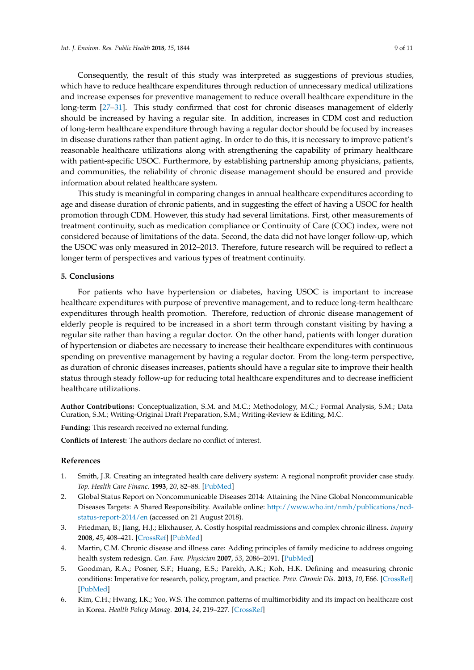Consequently, the result of this study was interpreted as suggestions of previous studies, which have to reduce healthcare expenditures through reduction of unnecessary medical utilizations and increase expenses for preventive management to reduce overall healthcare expenditure in the long-term [\[27–](#page-9-19)[31\]](#page-10-0). This study confirmed that cost for chronic diseases management of elderly should be increased by having a regular site. In addition, increases in CDM cost and reduction of long-term healthcare expenditure through having a regular doctor should be focused by increases in disease durations rather than patient aging. In order to do this, it is necessary to improve patient's reasonable healthcare utilizations along with strengthening the capability of primary healthcare with patient-specific USOC. Furthermore, by establishing partnership among physicians, patients, and communities, the reliability of chronic disease management should be ensured and provide information about related healthcare system.

This study is meaningful in comparing changes in annual healthcare expenditures according to age and disease duration of chronic patients, and in suggesting the effect of having a USOC for health promotion through CDM. However, this study had several limitations. First, other measurements of treatment continuity, such as medication compliance or Continuity of Care (COC) index, were not considered because of limitations of the data. Second, the data did not have longer follow-up, which the USOC was only measured in 2012–2013. Therefore, future research will be required to reflect a longer term of perspectives and various types of treatment continuity.

## **5. Conclusions**

For patients who have hypertension or diabetes, having USOC is important to increase healthcare expenditures with purpose of preventive management, and to reduce long-term healthcare expenditures through health promotion. Therefore, reduction of chronic disease management of elderly people is required to be increased in a short term through constant visiting by having a regular site rather than having a regular doctor. On the other hand, patients with longer duration of hypertension or diabetes are necessary to increase their healthcare expenditures with continuous spending on preventive management by having a regular doctor. From the long-term perspective, as duration of chronic diseases increases, patients should have a regular site to improve their health status through steady follow-up for reducing total healthcare expenditures and to decrease inefficient healthcare utilizations.

**Author Contributions:** Conceptualization, S.M. and M.C.; Methodology, M.C.; Formal Analysis, S.M.; Data Curation, S.M.; Writing-Original Draft Preparation, S.M.; Writing-Review & Editing, M.C.

**Funding:** This research received no external funding.

**Conflicts of Interest:** The authors declare no conflict of interest.

#### **References**

- <span id="page-8-0"></span>1. Smith, J.R. Creating an integrated health care delivery system: A regional nonprofit provider case study. *Top. Health Care Financ.* **1993**, *20*, 82–88. [\[PubMed\]](http://www.ncbi.nlm.nih.gov/pubmed/8310437)
- <span id="page-8-1"></span>2. Global Status Report on Noncommunicable Diseases 2014: Attaining the Nine Global Noncommunicable Diseases Targets: A Shared Responsibility. Available online: [http://www.who.int/nmh/publications/ncd](http://www.who.int/nmh/publications/ncd-status-report-2014/en)[status-report-2014/en](http://www.who.int/nmh/publications/ncd-status-report-2014/en) (accessed on 21 August 2018).
- <span id="page-8-2"></span>3. Friedman, B.; Jiang, H.J.; Elixhauser, A. Costly hospital readmissions and complex chronic illness. *Inquiry* **2008**, *45*, 408–421. [\[CrossRef\]](http://dx.doi.org/10.5034/inquiryjrnl_45.04.408) [\[PubMed\]](http://www.ncbi.nlm.nih.gov/pubmed/19209836)
- <span id="page-8-3"></span>4. Martin, C.M. Chronic disease and illness care: Adding principles of family medicine to address ongoing health system redesign. *Can. Fam. Physician* **2007**, *53*, 2086–2091. [\[PubMed\]](http://www.ncbi.nlm.nih.gov/pubmed/18077734)
- <span id="page-8-4"></span>5. Goodman, R.A.; Posner, S.F.; Huang, E.S.; Parekh, A.K.; Koh, H.K. Defining and measuring chronic conditions: Imperative for research, policy, program, and practice. *Prev. Chronic Dis.* **2013**, *10*, E66. [\[CrossRef\]](http://dx.doi.org/10.5888/pcd10.120239) [\[PubMed\]](http://www.ncbi.nlm.nih.gov/pubmed/23618546)
- <span id="page-8-5"></span>6. Kim, C.H.; Hwang, I.K.; Yoo, W.S. The common patterns of multimorbidity and its impact on healthcare cost in Korea. *Health Policy Manag.* **2014**, *24*, 219–227. [\[CrossRef\]](http://dx.doi.org/10.4332/KJHPA.2014.24.3.219)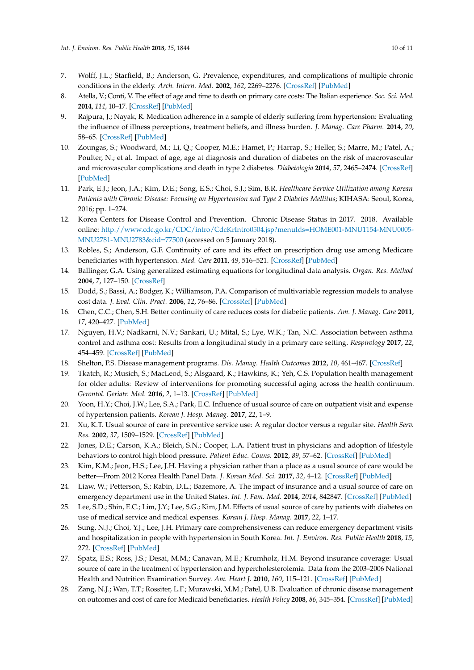- <span id="page-9-0"></span>7. Wolff, J.L.; Starfield, B.; Anderson, G. Prevalence, expenditures, and complications of multiple chronic conditions in the elderly. *Arch. Intern. Med.* **2002**, *162*, 2269–2276. [\[CrossRef\]](http://dx.doi.org/10.1001/archinte.162.20.2269) [\[PubMed\]](http://www.ncbi.nlm.nih.gov/pubmed/12418941)
- <span id="page-9-1"></span>8. Atella, V.; Conti, V. The effect of age and time to death on primary care costs: The Italian experience. *Soc. Sci. Med.* **2014**, *114*, 10–17. [\[CrossRef\]](http://dx.doi.org/10.1016/j.socscimed.2014.05.029) [\[PubMed\]](http://www.ncbi.nlm.nih.gov/pubmed/24908170)
- <span id="page-9-2"></span>9. Rajpura, J.; Nayak, R. Medication adherence in a sample of elderly suffering from hypertension: Evaluating the influence of illness perceptions, treatment beliefs, and illness burden. *J. Manag. Care Pharm.* **2014**, *20*, 58–65. [\[CrossRef\]](http://dx.doi.org/10.18553/jmcp.2014.20.1.58) [\[PubMed\]](http://www.ncbi.nlm.nih.gov/pubmed/24511766)
- <span id="page-9-3"></span>10. Zoungas, S.; Woodward, M.; Li, Q.; Cooper, M.E.; Hamet, P.; Harrap, S.; Heller, S.; Marre, M.; Patel, A.; Poulter, N.; et al. Impact of age, age at diagnosis and duration of diabetes on the risk of macrovascular and microvascular complications and death in type 2 diabetes. *Diabetologia* **2014**, *57*, 2465–2474. [\[CrossRef\]](http://dx.doi.org/10.1007/s00125-014-3369-7) [\[PubMed\]](http://www.ncbi.nlm.nih.gov/pubmed/25226881)
- <span id="page-9-4"></span>11. Park, E.J.; Jeon, J.A.; Kim, D.E.; Song, E.S.; Choi, S.J.; Sim, B.R. *Healthcare Service Utilization among Korean* Patients with Chronic Disease: Focusing on Hypertension and Type 2 Diabetes Mellitus; KIHASA: Seoul, Korea, 2016; pp. 1–274.
- <span id="page-9-5"></span>12. Korea Centers for Disease Control and Prevention. Chronic Disease Status in 2017. 2018. Available online: [http://www.cdc.go.kr/CDC/intro/CdcKrIntro0504.jsp?menuIds=HOME001-MNU1154-MNU0005-](http://www.cdc.go.kr/CDC/intro/CdcKrIntro0504.jsp?menuIds=HOME001-MNU1154-MNU0005-MNU2781-MNU2783&cid=77500) [MNU2781-MNU2783&cid=77500](http://www.cdc.go.kr/CDC/intro/CdcKrIntro0504.jsp?menuIds=HOME001-MNU1154-MNU0005-MNU2781-MNU2783&cid=77500) (accessed on 5 January 2018).
- <span id="page-9-6"></span>13. Robles, S.; Anderson, G.F. Continuity of care and its effect on prescription drug use among Medicare beneficiaries with hypertension. *Med. Care* **2011**, *49*, 516–521. [\[CrossRef\]](http://dx.doi.org/10.1097/MLR.0b013e31820fb10c) [\[PubMed\]](http://www.ncbi.nlm.nih.gov/pubmed/21430582)
- <span id="page-9-7"></span>14. Ballinger, G.A. Using generalized estimating equations for longitudinal data analysis. *Organ. Res. Method* **2004**, *7*, 127–150. [\[CrossRef\]](http://dx.doi.org/10.1177/1094428104263672)
- <span id="page-9-8"></span>15. Dodd, S.; Bassi, A.; Bodger, K.; Williamson, P.A. Comparison of multivariable regression models to analyse cost data. *J. Eval. Clin. Pract.* **2006**, *12*, 76–86. [\[CrossRef\]](http://dx.doi.org/10.1111/j.1365-2753.2006.00610.x) [\[PubMed\]](http://www.ncbi.nlm.nih.gov/pubmed/16422782)
- <span id="page-9-9"></span>16. Chen, C.C.; Chen, S.H. Better continuity of care reduces costs for diabetic patients. *Am. J. Manag. Care* **2011**, *17*, 420–427. [\[PubMed\]](http://www.ncbi.nlm.nih.gov/pubmed/21756012)
- <span id="page-9-10"></span>17. Nguyen, H.V.; Nadkarni, N.V.; Sankari, U.; Mital, S.; Lye, W.K.; Tan, N.C. Association between asthma control and asthma cost: Results from a longitudinal study in a primary care setting. *Respirology* **2017**, *22*, 454–459. [\[CrossRef\]](http://dx.doi.org/10.1111/resp.12930) [\[PubMed\]](http://www.ncbi.nlm.nih.gov/pubmed/27862645)
- <span id="page-9-12"></span><span id="page-9-11"></span>18. Shelton, P.S. Disease management programs. *Dis. Manag. Health Outcomes* **2012**, *10*, 461–467. [\[CrossRef\]](http://dx.doi.org/10.2165/00115677-200210080-00001)
- 19. Tkatch, R.; Musich, S.; MacLeod, S.; Alsgaard, K.; Hawkins, K.; Yeh, C.S. Population health management for older adults: Review of interventions for promoting successful aging across the health continuum. *Gerontol. Geriatr. Med.* **2016**, *2*, 1–13. [\[CrossRef\]](http://dx.doi.org/10.1177/2333721416667877) [\[PubMed\]](http://www.ncbi.nlm.nih.gov/pubmed/28680938)
- <span id="page-9-13"></span>20. Yoon, H.Y.; Choi, J.W.; Lee, S.A.; Park, E.C. Influence of usual source of care on outpatient visit and expense of hypertension patients. *Korean J. Hosp. Manag.* **2017**, *22*, 1–9.
- <span id="page-9-14"></span>21. Xu, K.T. Usual source of care in preventive service use: A regular doctor versus a regular site. *Health Serv. Res.* **2002**, *37*, 1509–1529. [\[CrossRef\]](http://dx.doi.org/10.1111/1475-6773.10524) [\[PubMed\]](http://www.ncbi.nlm.nih.gov/pubmed/12546284)
- <span id="page-9-15"></span>22. Jones, D.E.; Carson, K.A.; Bleich, S.N.; Cooper, L.A. Patient trust in physicians and adoption of lifestyle behaviors to control high blood pressure. *Patient Educ. Couns.* **2012**, *89*, 57–62. [\[CrossRef\]](http://dx.doi.org/10.1016/j.pec.2012.06.003) [\[PubMed\]](http://www.ncbi.nlm.nih.gov/pubmed/22770676)
- <span id="page-9-16"></span>23. Kim, K.M.; Jeon, H.S.; Lee, J.H. Having a physician rather than a place as a usual source of care would be better—From 2012 Korea Health Panel Data. *J. Korean Med. Sci.* **2017**, *32*, 4–12. [\[CrossRef\]](http://dx.doi.org/10.3346/jkms.2017.32.1.4) [\[PubMed\]](http://www.ncbi.nlm.nih.gov/pubmed/27914125)
- <span id="page-9-17"></span>24. Liaw, W.; Petterson, S.; Rabin, D.L.; Bazemore, A. The impact of insurance and a usual source of care on emergency department use in the United States. *Int. J. Fam. Med.* **2014**, *2014*, 842847. [\[CrossRef\]](http://dx.doi.org/10.1155/2014/842847) [\[PubMed\]](http://www.ncbi.nlm.nih.gov/pubmed/24678420)
- 25. Lee, S.D.; Shin, E.C.; Lim, J.Y.; Lee, S.G.; Kim, J.M. Effects of usual source of care by patients with diabetes on use of medical service and medical expenses. *Korean J. Hosp. Manag.* **2017**, *22*, 1–17.
- <span id="page-9-18"></span>26. Sung, N.J.; Choi, Y.J.; Lee, J.H. Primary care comprehensiveness can reduce emergency department visits and hospitalization in people with hypertension in South Korea. *Int. J. Environ. Res. Public Health* **2018**, *15*, 272. [\[CrossRef\]](http://dx.doi.org/10.3390/ijerph15020272) [\[PubMed\]](http://www.ncbi.nlm.nih.gov/pubmed/29401740)
- <span id="page-9-19"></span>27. Spatz, E.S.; Ross, J.S.; Desai, M.M.; Canavan, M.E.; Krumholz, H.M. Beyond insurance coverage: Usual source of care in the treatment of hypertension and hypercholesterolemia. Data from the 2003–2006 National Health and Nutrition Examination Survey. *Am. Heart J.* **2010**, *160*, 115–121. [\[CrossRef\]](http://dx.doi.org/10.1016/j.ahj.2010.04.013) [\[PubMed\]](http://www.ncbi.nlm.nih.gov/pubmed/20598981)
- 28. Zang, N.J.; Wan, T.T.; Rossiter, L.F.; Murawski, M.M.; Patel, U.B. Evaluation of chronic disease management on outcomes and cost of care for Medicaid beneficiaries. *Health Policy* **2008**, *86*, 345–354. [\[CrossRef\]](http://dx.doi.org/10.1016/j.healthpol.2007.11.011) [\[PubMed\]](http://www.ncbi.nlm.nih.gov/pubmed/18207282)